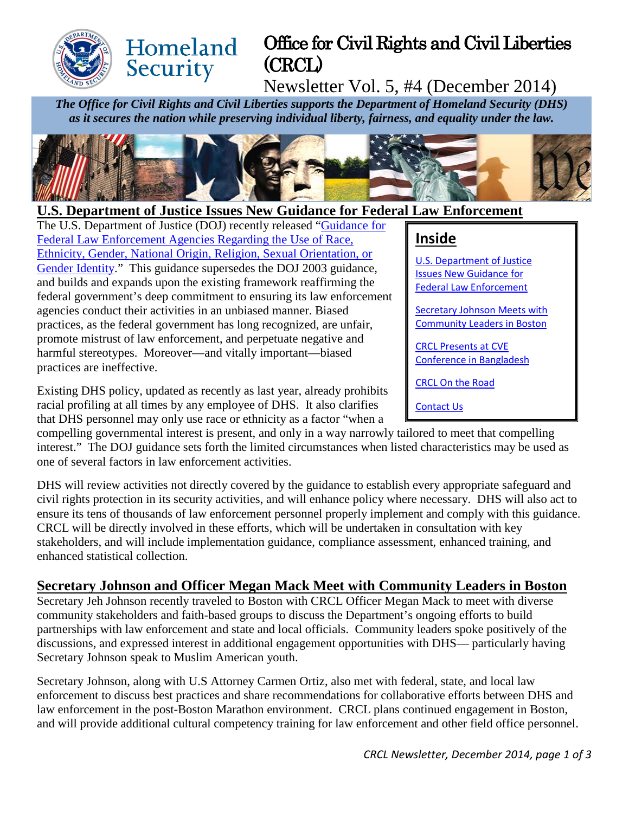

# Office for Civil Rights and Civil Liberties (CRCL)

Newsletter Vol. 5, #4 (December 2014)

*The Office for Civil Rights and Civil Liberties supports the Department of Homeland Security (DHS) as it secures the nation while preserving individual liberty, fairness, and equality under the law.*



### <span id="page-0-0"></span>**U.S. Department of Justice Issues New Guidance for Federal Law Enforcement**

The U.S. Department of Justice (DOJ) recently released ["Guidance for](http://www.justice.gov/sites/default/files/ag/pages/attachments/2014/12/08/use-of-race-policy.pdf)  [Federal Law Enforcement Agencies Regarding the Use of Race,](http://www.justice.gov/sites/default/files/ag/pages/attachments/2014/12/08/use-of-race-policy.pdf)  [Ethnicity, Gender, National Origin, Religion, Sexual Orientation, or](http://www.justice.gov/sites/default/files/ag/pages/attachments/2014/12/08/use-of-race-policy.pdf)  [Gender Identity.](http://www.justice.gov/sites/default/files/ag/pages/attachments/2014/12/08/use-of-race-policy.pdf)" This guidance supersedes the DOJ 2003 guidance, and builds and expands upon the existing framework reaffirming the federal government's deep commitment to ensuring its law enforcement agencies conduct their activities in an unbiased manner. Biased practices, as the federal government has long recognized, are unfair, promote mistrust of law enforcement, and perpetuate negative and harmful stereotypes. Moreover—and vitally important—biased practices are ineffective.

Homeland

Security

Existing DHS policy, updated as recently as last year, already prohibits racial profiling at all times by any employee of DHS. It also clarifies that DHS personnel may only use race or ethnicity as a factor "when a

compelling governmental interest is present, and only in a way narrowly tailored to meet that compelling interest." The DOJ guidance sets forth the limited circumstances when listed characteristics may be used as one of several factors in law enforcement activities.

DHS will review activities not directly covered by the guidance to establish every appropriate safeguard and civil rights protection in its security activities, and will enhance policy where necessary. DHS will also act to ensure its tens of thousands of law enforcement personnel properly implement and comply with this guidance. CRCL will be directly involved in these efforts, which will be undertaken in consultation with key stakeholders, and will include implementation guidance, compliance assessment, enhanced training, and enhanced statistical collection.

#### <span id="page-0-1"></span>**Secretary Johnson and Officer Megan Mack Meet with Community Leaders in Boston**

Secretary Jeh Johnson recently traveled to Boston with CRCL Officer Megan Mack to meet with diverse community stakeholders and faith-based groups to discuss the Department's ongoing efforts to build partnerships with law enforcement and state and local officials. Community leaders spoke positively of the discussions, and expressed interest in additional engagement opportunities with DHS— particularly having Secretary Johnson speak to Muslim American youth.

Secretary Johnson, along with U.S Attorney Carmen Ortiz, also met with federal, state, and local law enforcement to discuss best practices and share recommendations for collaborative efforts between DHS and law enforcement in the post-Boston Marathon environment. CRCL plans continued engagement in Boston, and will provide additional cultural competency training for law enforcement and other field office personnel.

### **Inside**

[U.S. Department of Justice](#page-0-0)  [Issues New Guidance](#page-0-0) for [Federal Law Enforcement](#page-0-0) 

[Secretary Johnson Meets with](#page-0-1)  [Community Leaders in Boston](#page-0-1)

[CRCL Presents at CVE](#page-1-0)  [Conference in Bangladesh](#page-1-0)

[CRCL On the Road](#page-1-1)

[Contact Us](#page-1-2)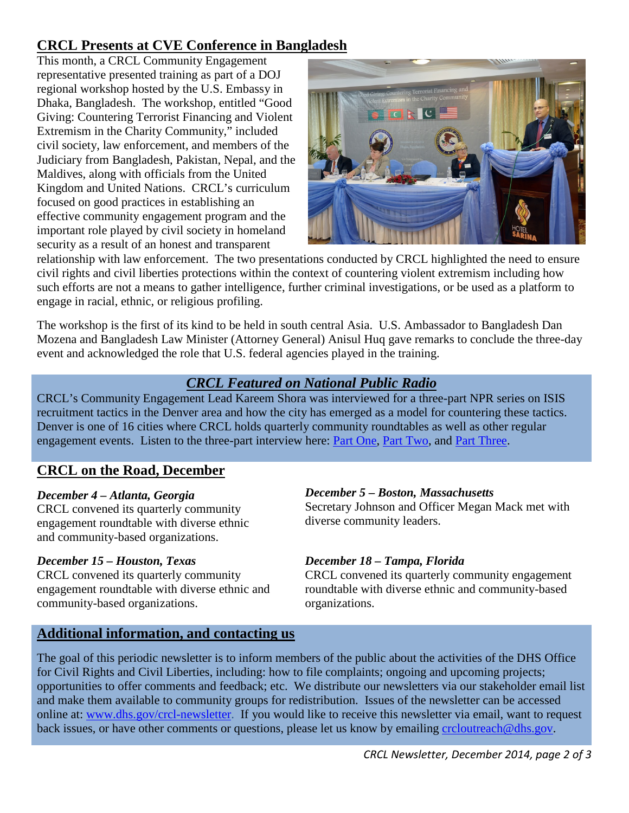## <span id="page-1-0"></span>**CRCL Presents at CVE Conference in Bangladesh**

This month, a CRCL Community Engagement representative presented training as part of a DOJ regional workshop hosted by the U.S. Embassy in Dhaka, Bangladesh. The workshop, entitled "Good Giving: Countering Terrorist Financing and Violent Extremism in the Charity Community," included civil society, law enforcement, and members of the Judiciary from Bangladesh, Pakistan, Nepal, and the Maldives, along with officials from the United Kingdom and United Nations. CRCL's curriculum focused on good practices in establishing an effective community engagement program and the important role played by civil society in homeland security as a result of an honest and transparent



relationship with law enforcement. The two presentations conducted by CRCL highlighted the need to ensure civil rights and civil liberties protections within the context of countering violent extremism including how such efforts are not a means to gather intelligence, further criminal investigations, or be used as a platform to engage in racial, ethnic, or religious profiling.

The workshop is the first of its kind to be held in south central Asia. U.S. Ambassador to Bangladesh Dan Mozena and Bangladesh Law Minister (Attorney General) Anisul Huq gave remarks to conclude the three-day event and acknowledged the role that U.S. federal agencies played in the training.

### *CRCL Featured on National Public Radio*

CRCL's Community Engagement Lead Kareem Shora was interviewed for a three-part NPR series on ISIS recruitment tactics in the Denver area and how the city has emerged as a model for countering these tactics. Denver is one of 16 cities where CRCL holds quarterly community roundtables as well as other regular engagement events. Listen to the three-part interview here: Part [One,](http://www.npr.org/2014/12/11/370022514/isis-used-predatory-tools-and-tactics-to-convince-u-s-teens-to-join) [Part Two,](http://www.npr.org/2014/12/11/370156282/denver-emerges-as-model-for-countering-isis-recruiting-tactics) and [Part Three.](http://www.npr.org/2014/12/12/370087759/when-americans-head-to-syria-how-much-of-a-threat-do-they-pose)

## <span id="page-1-1"></span>**CRCL on the Road, December**

#### *December 4 – Atlanta, Georgia*

CRCL convened its quarterly community engagement roundtable with diverse ethnic and community-based organizations.

#### *December 15 – Houston, Texas*

CRCL convened its quarterly community engagement roundtable with diverse ethnic and community-based organizations.

#### *December 5 – Boston, Massachusetts*

Secretary Johnson and Officer Megan Mack met with diverse community leaders.

#### *December 18 – Tampa, Florida*

CRCL convened its quarterly community engagement roundtable with diverse ethnic and community-based organizations.

### <span id="page-1-2"></span>**Additional information, and contacting us**

The goal of this periodic newsletter is to inform members of the public about the activities of the DHS Office for Civil Rights and Civil Liberties, including: how to file complaints; ongoing and upcoming projects; opportunities to offer comments and feedback; etc. We distribute our newsletters via our stakeholder email list and make them available to community groups for redistribution. Issues of the newsletter can be accessed online at: [www.dhs.gov/crcl-newsletter.](http://www.dhs.gov/crcl-newsletter) If you would like to receive this newsletter via email, want to request back issues, or have other comments or questions, please let us know by emailing [crcloutreach@dhs.gov.](mailto:crcloutreach@dhs.gov)